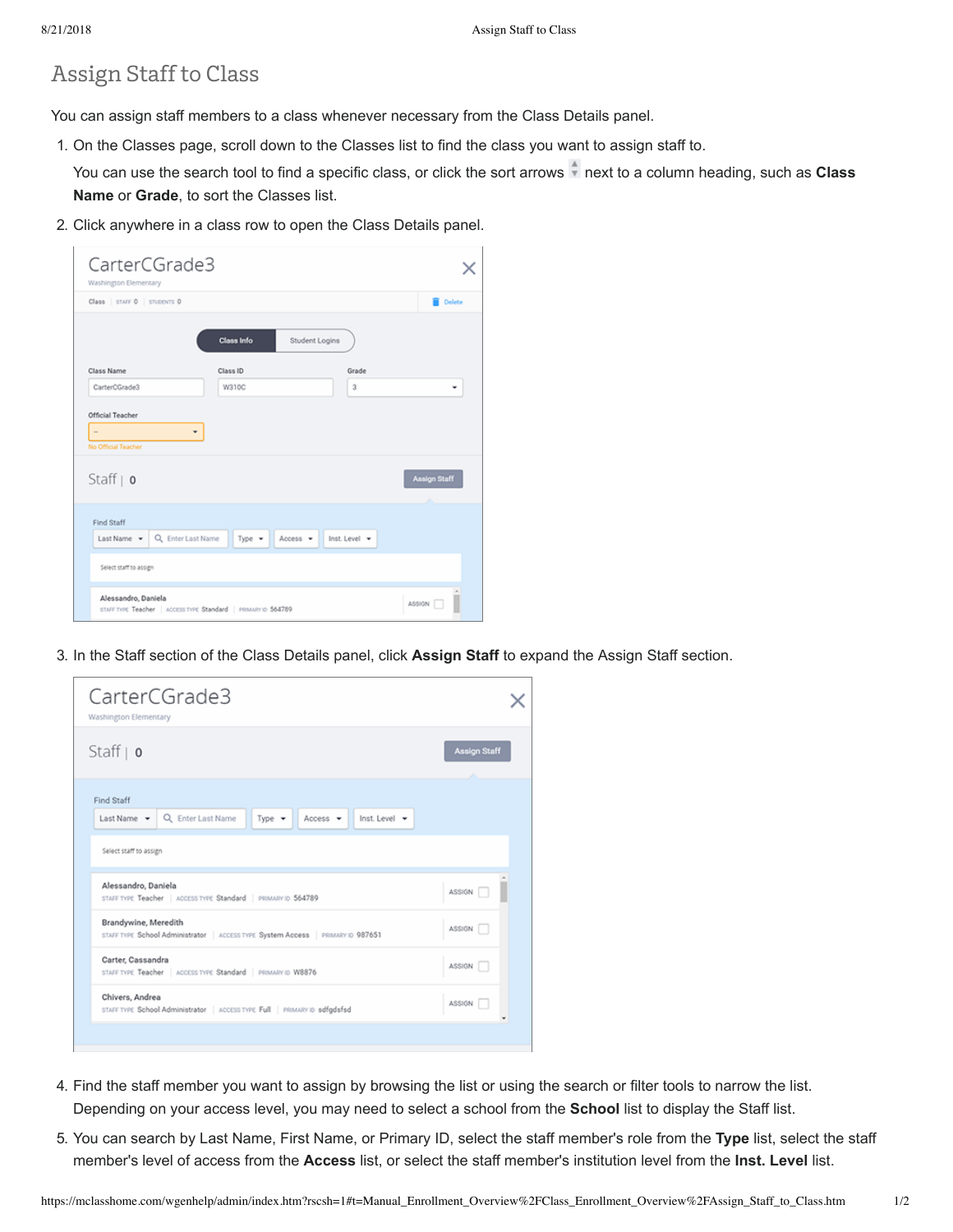## Assign Staff to Class

You can assign staff members to a class whenever necessary from the Class Details panel.

1. On the Classes page, scroll down to the Classes list to find the class you want to assign staff to.

You can use the search tool to find a specific class, or click the sort arrows **a** next to a column heading, such as **Class Name** or **Grade**, to sort the Classes list.

2. Click anywhere in a class row to open the Class Details panel.

| CarterCGrade3<br>Washington Elementary |                                                               |                           |                          |
|----------------------------------------|---------------------------------------------------------------|---------------------------|--------------------------|
| Class   STAFF 0   STUDENTS 0           |                                                               |                           | Delete                   |
|                                        | <b>Class Info</b>                                             | Student Logins            |                          |
| Class Name                             | Class ID                                                      | Grade                     |                          |
| CarterOGrade3                          | W310C                                                         | $\ddot{\rm{3}}$           | ٠                        |
| No Official Teacher<br>Staff $ $ o     |                                                               |                           | <b>Assign Staff</b><br>× |
| Find Staff                             |                                                               |                           |                          |
| Last Name v                            | Q Enter Last Name<br>Type =                                   | Access v<br>Inst. Level - |                          |
| Select staff to assign                 |                                                               |                           |                          |
| Alessandro, Daniela                    | STAFF TYPE Teacher   ACCESS TYPE Standard   PRIMARY ID 564789 |                           | ASSIGN F                 |

3. In the Staff section of the Class Details panel, click **Assign Staff** to expand the Assign Staff section.



- 4. Find the staff member you want to assign by browsing the list or using the search or filter tools to narrow the list. Depending on your access level, you may need to select a school from the **School** list to display the Staff list.
- 5. You can search by Last Name, First Name, or Primary ID, select the staff member's role from the **Type** list, select the staff member's level of access from the **Access** list, or select the staff member's institution level from the **Inst. Level** list.